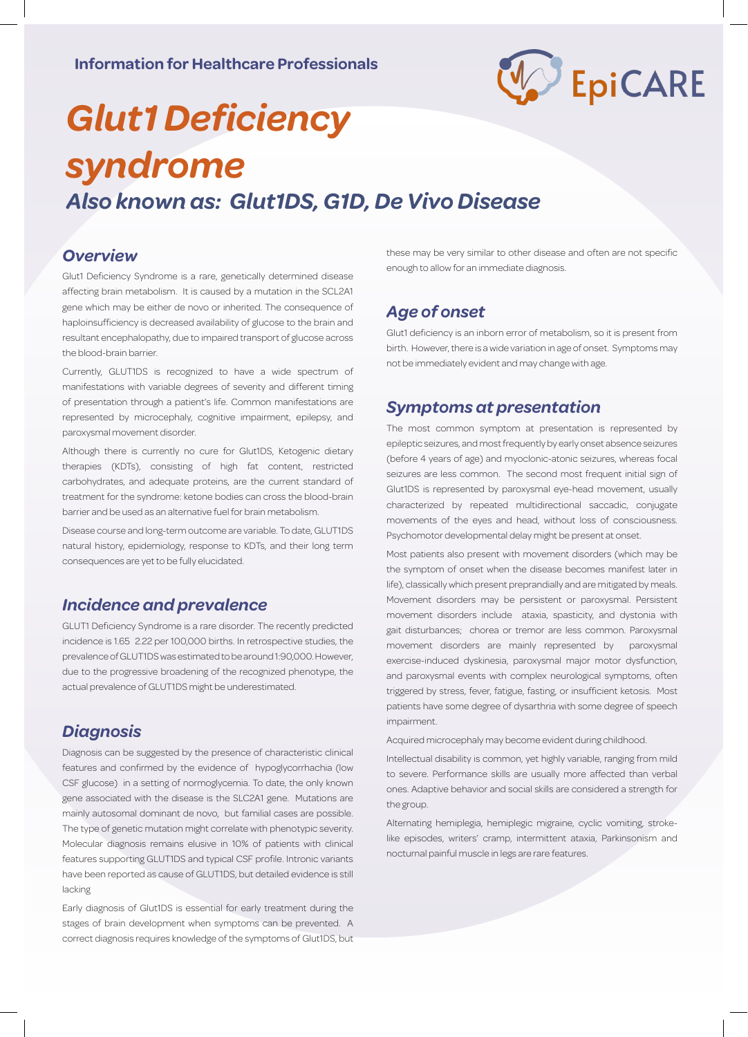

# *Glut1 Deficiency syndrome*

*Also known as: Glut1DS, G1D, De Vivo Disease* 

#### *Overview*

Glut1 Deficiency Syndrome is a rare, genetically determined disease affecting brain metabolism. It is caused by a mutation in the SCL2A1 gene which may be either de novo or inherited. The consequence of haploinsufficiency is decreased availability of glucose to the brain and resultant encephalopathy, due to impaired transport of glucose across the blood-brain barrier.

Currently, GLUT1DS is recognized to have a wide spectrum of manifestations with variable degrees of severity and different timing of presentation through a patient's life. Common manifestations are represented by microcephaly, cognitive impairment, epilepsy, and paroxysmal movement disorder.

Although there is currently no cure for Glut1DS, Ketogenic dietary therapies (KDTs), consisting of high fat content, restricted carbohydrates, and adequate proteins, are the current standard of treatment for the syndrome: ketone bodies can cross the blood-brain barrier and be used as an alternative fuel for brain metabolism.

Disease course and long-term outcome are variable. To date, GLUT1DS natural history, epidemiology, response to KDTs, and their long term consequences are yet to be fully elucidated.

#### *Incidence and prevalence*

GLUT1 Deficiency Syndrome is a rare disorder. The recently predicted incidence is 1.65‐2.22 per 100,000 births. In retrospective studies, the prevalence of GLUT1DS was estimated to be around 1:90,000. However, due to the progressive broadening of the recognized phenotype, the actual prevalence of GLUT1DS might be underestimated.

# *Diagnosis*

Diagnosis can be suggested by the presence of characteristic clinical features and confirmed by the evidence of hypoglycorrhachia (low CSF glucose) in a setting of normoglycemia. To date, the only known gene associated with the disease is the SLC2A1 gene. Mutations are mainly autosomal dominant de novo, but familial cases are possible. The type of genetic mutation might correlate with phenotypic severity. Molecular diagnosis remains elusive in 10% of patients with clinical features supporting GLUT1DS and typical CSF profile. Intronic variants have been reported as cause of GLUT1DS, but detailed evidence is still lacking

Early diagnosis of Glut1DS is essential for early treatment during the stages of brain development when symptoms can be prevented. A correct diagnosis requires knowledge of the symptoms of Glut1DS, but

these may be very similar to other disease and often are not specific enough to allow for an immediate diagnosis.

# *Age of onset*

Glut1 deficiency is an inborn error of metabolism, so it is present from birth. However, there is a wide variation in age of onset. Symptoms may not be immediately evident and may change with age.

#### *Symptoms at presentation*

The most common symptom at presentation is represented by epileptic seizures, and most frequently by early onset absence seizures (before 4 years of age) and myoclonic-atonic seizures, whereas focal seizures are less common. The second most frequent initial sign of Glut1DS is represented by paroxysmal eye-head movement, usually characterized by repeated multidirectional saccadic, conjugate movements of the eyes and head, without loss of consciousness. Psychomotor developmental delay might be present at onset.

Most patients also present with movement disorders (which may be the symptom of onset when the disease becomes manifest later in life), classically which present preprandially and are mitigated by meals. Movement disorders may be persistent or paroxysmal. Persistent movement disorders include ataxia, spasticity, and dystonia with gait disturbances; chorea or tremor are less common. Paroxysmal movement disorders are mainly represented by paroxysmal exercise-induced dyskinesia, paroxysmal major motor dysfunction, and paroxysmal events with complex neurological symptoms, often triggered by stress, fever, fatigue, fasting, or insufficient ketosis. Most patients have some degree of dysarthria with some degree of speech impairment.

Acquired microcephaly may become evident during childhood.

Intellectual disability is common, yet highly variable, ranging from mild to severe. Performance skills are usually more affected than verbal ones. Adaptive behavior and social skills are considered a strength for the group.

Alternating hemiplegia, hemiplegic migraine, cyclic vomiting, strokelike episodes, writers' cramp, intermittent ataxia, Parkinsonism and nocturnal painful muscle in legs are rare features.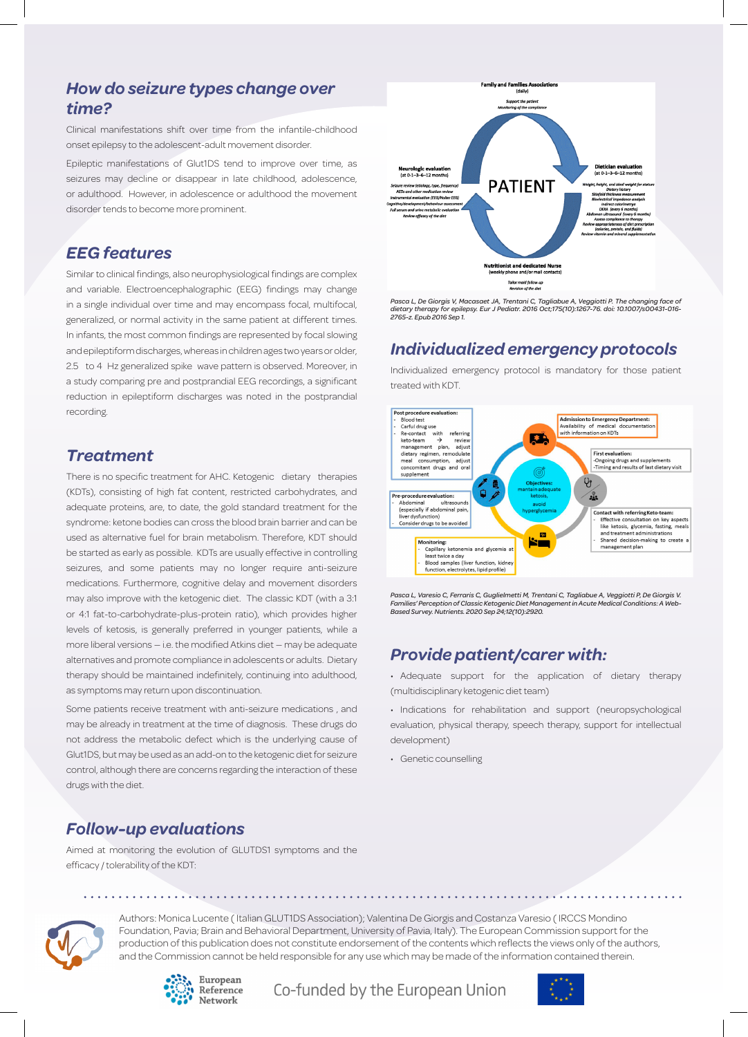# *How do seizure types change over time?*

Clinical manifestations shift over time from the infantile-childhood onset epilepsy to the adolescent-adult movement disorder.

Epileptic manifestations of Glut1DS tend to improve over time, as seizures may decline or disappear in late childhood, adolescence, or adulthood. However, in adolescence or adulthood the movement disorder tends to become more prominent.

#### *EEG features*

Similar to clinical findings, also neurophysiological findings are complex and variable. Electroencephalographic (EEG) findings may change in a single individual over time and may encompass focal, multifocal, generalized, or normal activity in the same patient at different times. In infants, the most common findings are represented by focal slowing and epileptiform discharges, whereas in children ages two years or older, 2.5 to 4 Hz generalized spike wave pattern is observed. Moreover, in a study comparing pre and postprandial EEG recordings, a significant reduction in epileptiform discharges was noted in the postprandial recording.

#### *Treatment*

There is no specific treatment for AHC. Ketogenic dietary therapies (KDTs), consisting of high fat content, restricted carbohydrates, and adequate proteins, are, to date, the gold standard treatment for the syndrome: ketone bodies can cross the blood brain barrier and can be used as alternative fuel for brain metabolism. Therefore, KDT should be started as early as possible. KDTs are usually effective in controlling seizures, and some patients may no longer require anti-seizure medications. Furthermore, cognitive delay and movement disorders may also improve with the ketogenic diet. The classic KDT (with a 3:1 or 4:1 fat-to-carbohydrate-plus-protein ratio), which provides higher levels of ketosis, is generally preferred in younger patients, while a more liberal versions — i.e. the modified Atkins diet — may be adequate alternatives and promote compliance in adolescents or adults. Dietary therapy should be maintained indefinitely, continuing into adulthood, as symptoms may return upon discontinuation.

Some patients receive treatment with anti-seizure medications , and may be already in treatment at the time of diagnosis. These drugs do not address the metabolic defect which is the underlying cause of Glut1DS, but may be used as an add-on to the ketogenic diet for seizure control, although there are concerns regarding the interaction of these drugs with the diet.

# *Follow-up evaluations*

Aimed at monitoring the evolution of GLUTDS1 symptoms and the efficacy / tolerability of the KDT:



*Pasca L, De Giorgis V, Macasaet JA, Trentani C, Tagliabue A, Veggiotti P. The changing face of dietary therapy for epilepsy. Eur J Pediatr. 2016 Oct;175(10):1267-76. doi: 10.1007/s00431-016- 2765-z. Epub 2016 Sep 1.*

# *Individualized emergency protocols*

Individualized emergency protocol is mandatory for those patient treated with KDT.



*Pasca L, Varesio C, Ferraris C, Guglielmetti M, Trentani C, Tagliabue A, Veggiotti P, De Giorgis V. Families' Perception of Classic Ketogenic Diet Management in Acute Medical Conditions: A Web-Based Survey. Nutrients. 2020 Sep 24;12(10):2920.* 

# *Provide patient/carer with:*

• Adequate support for the application of dietary therapy (multidisciplinary ketogenic diet team)

• Indications for rehabilitation and support (neuropsychological evaluation, physical therapy, speech therapy, support for intellectual development)

• Genetic counselling



Authors: Monica Lucente ( Italian GLUT1DS Association); Valentina De Giorgis and Costanza Varesio ( IRCCS Mondino Foundation, Pavia; Brain and Behavioral Department, University of Pavia, Italy). The European Commission support for the production of this publication does not constitute endorsement of the contents which reflects the views only of the authors, and the Commission cannot be held responsible for any use which may be made of the information contained therein.



Co-funded by the European Union

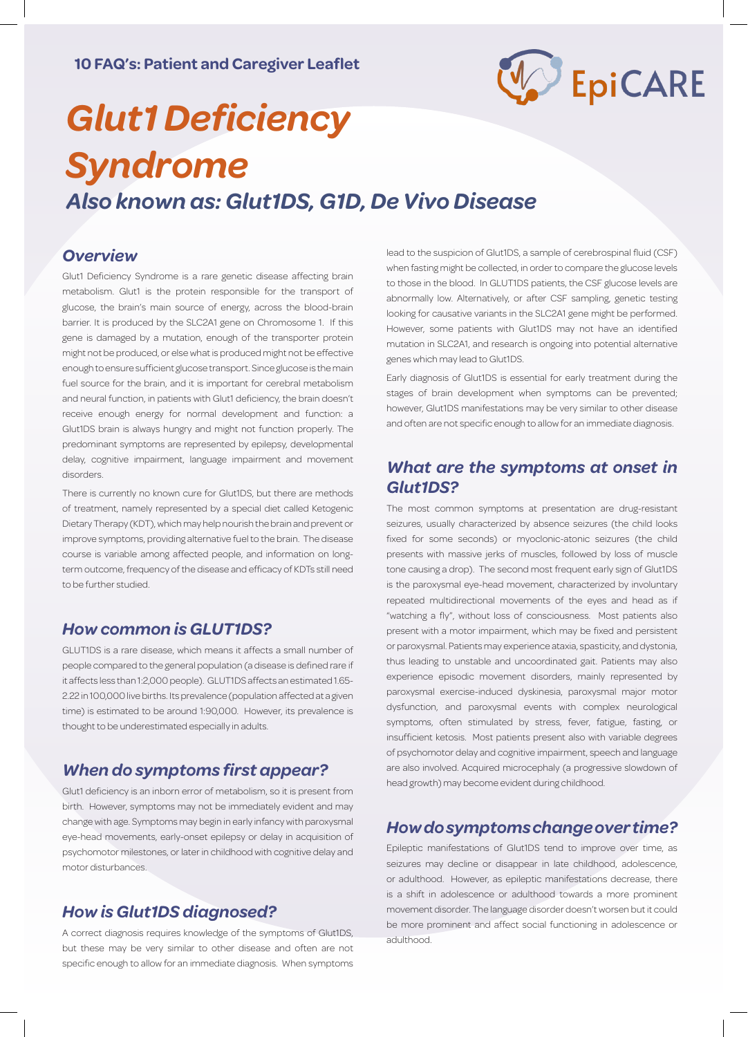

# *Glut1 Deficiency Syndrome Also known as: Glut1DS, G1D, De Vivo Disease*

#### *Overview*

Glut1 Deficiency Syndrome is a rare genetic disease affecting brain metabolism. Glut1 is the protein responsible for the transport of glucose, the brain's main source of energy, across the blood-brain barrier. It is produced by the SLC2A1 gene on Chromosome 1. If this gene is damaged by a mutation, enough of the transporter protein might not be produced, or else what is produced might not be effective enough to ensure sufficient glucose transport. Since glucose is the main fuel source for the brain, and it is important for cerebral metabolism and neural function, in patients with Glut1 deficiency, the brain doesn't receive enough energy for normal development and function: a Glut1DS brain is always hungry and might not function properly. The predominant symptoms are represented by epilepsy, developmental delay, cognitive impairment, language impairment and movement disorders.

There is currently no known cure for Glut1DS, but there are methods of treatment, namely represented by a special diet called Ketogenic Dietary Therapy (KDT), which may help nourish the brain and prevent or improve symptoms, providing alternative fuel to the brain. The disease course is variable among affected people, and information on longterm outcome, frequency of the disease and efficacy of KDTs still need to be further studied.

#### *How common is GLUT1DS?*

GLUT1DS is a rare disease, which means it affects a small number of people compared to the general population (a disease is defined rare if it affects less than 1:2,000 people). GLUT1DS affects an estimated 1.65- 2.22 in 100,000 live births. Its prevalence (population affected at a given time) is estimated to be around 1:90,000. However, its prevalence is thought to be underestimated especially in adults.

# *When do symptoms first appear?*

Glut1 deficiency is an inborn error of metabolism, so it is present from birth. However, symptoms may not be immediately evident and may change with age. Symptoms may begin in early infancy with paroxysmal eye-head movements, early-onset epilepsy or delay in acquisition of psychomotor milestones, or later in childhood with cognitive delay and motor disturbances.

#### *How is Glut1DS diagnosed?*

A correct diagnosis requires knowledge of the symptoms of Glut1DS, but these may be very similar to other disease and often are not specific enough to allow for an immediate diagnosis. When symptoms lead to the suspicion of Glut1DS, a sample of cerebrospinal fluid (CSF) when fasting might be collected, in order to compare the glucose levels to those in the blood. In GLUT1DS patients, the CSF glucose levels are abnormally low. Alternatively, or after CSF sampling, genetic testing looking for causative variants in the SLC2A1 gene might be performed. However, some patients with Glut1DS may not have an identified mutation in SLC2A1, and research is ongoing into potential alternative genes which may lead to Glut1DS.

Early diagnosis of Glut1DS is essential for early treatment during the stages of brain development when symptoms can be prevented; however, Glut1DS manifestations may be very similar to other disease and often are not specific enough to allow for an immediate diagnosis.

# *What are the symptoms at onset in Glut1DS?*

The most common symptoms at presentation are drug-resistant seizures, usually characterized by absence seizures (the child looks fixed for some seconds) or myoclonic-atonic seizures (the child presents with massive jerks of muscles, followed by loss of muscle tone causing a drop). The second most frequent early sign of Glut1DS is the paroxysmal eye-head movement, characterized by involuntary repeated multidirectional movements of the eyes and head as if "watching a fly", without loss of consciousness. Most patients also present with a motor impairment, which may be fixed and persistent or paroxysmal. Patients may experience ataxia, spasticity, and dystonia, thus leading to unstable and uncoordinated gait. Patients may also experience episodic movement disorders, mainly represented by paroxysmal exercise-induced dyskinesia, paroxysmal major motor dysfunction, and paroxysmal events with complex neurological symptoms, often stimulated by stress, fever, fatigue, fasting, or insufficient ketosis. Most patients present also with variable degrees of psychomotor delay and cognitive impairment, speech and language are also involved. Acquired microcephaly (a progressive slowdown of head growth) may become evident during childhood.

#### *How do symptoms change over time?*

Epileptic manifestations of Glut1DS tend to improve over time, as seizures may decline or disappear in late childhood, adolescence, or adulthood. However, as epileptic manifestations decrease, there is a shift in adolescence or adulthood towards a more prominent movement disorder. The language disorder doesn't worsen but it could be more prominent and affect social functioning in adolescence or adulthood.